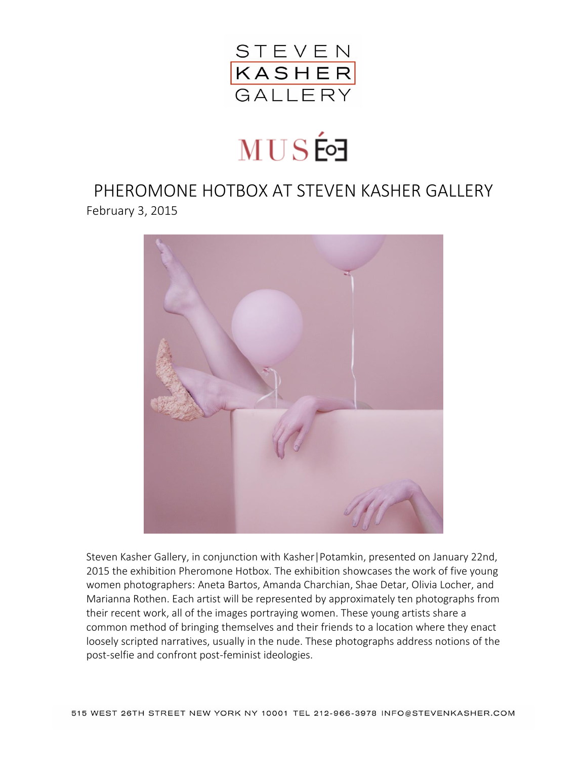

## **MUS的**

PHEROMONE HOTBOX AT STEVEN KASHER GALLERY February 3, 2015



Steven Kasher Gallery, in conjunction with Kasher|Potamkin, presented on January 22nd, 2015 the exhibition Pheromone Hotbox. The exhibition showcases the work of five young women photographers: Aneta Bartos, Amanda Charchian, Shae Detar, Olivia Locher, and Marianna Rothen. Each artist will be represented by approximately ten photographs from their recent work, all of the images portraying women. These young artists share a common method of bringing themselves and their friends to a location where they enact loosely scripted narratives, usually in the nude. These photographs address notions of the post-selfie and confront post-feminist ideologies.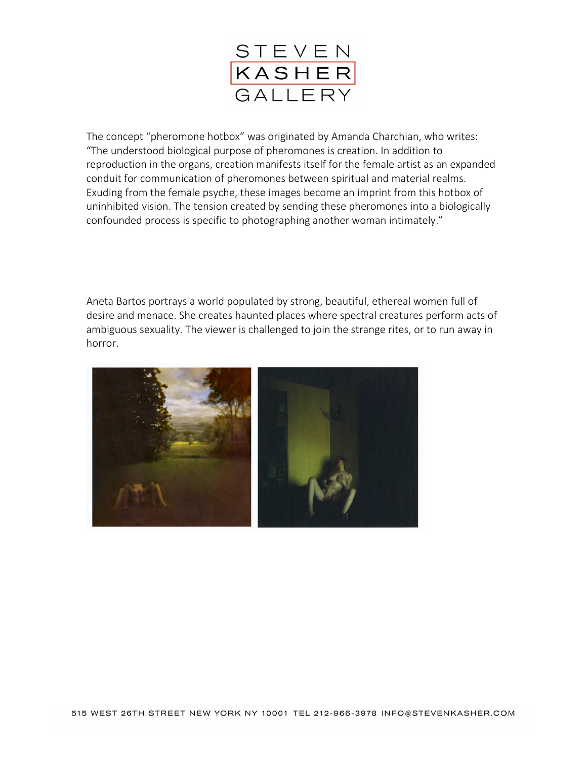

The concept "pheromone hotbox" was originated by Amanda Charchian, who writes: "The understood biological purpose of pheromones is creation. In addition to reproduction in the organs, creation manifests itself for the female artist as an expanded conduit for communication of pheromones between spiritual and material realms. Exuding from the female psyche, these images become an imprint from this hotbox of uninhibited vision. The tension created by sending these pheromones into a biologically confounded process is specific to photographing another woman intimately."

Aneta Bartos portrays a world populated by strong, beautiful, ethereal women full of desire and menace. She creates haunted places where spectral creatures perform acts of ambiguous sexuality. The viewer is challenged to join the strange rites, or to run away in horror.

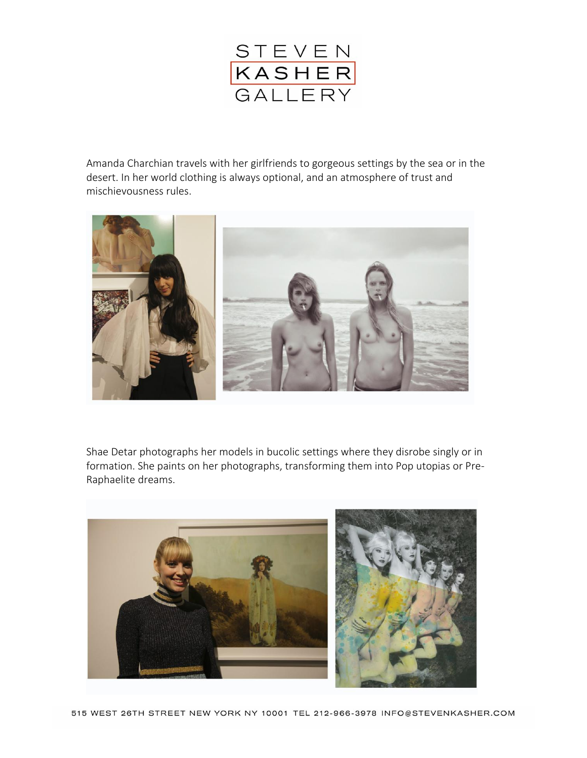

Amanda Charchian travels with her girlfriends to gorgeous settings by the sea or in the desert. In her world clothing is always optional, and an atmosphere of trust and mischievousness rules.



Shae Detar photographs her models in bucolic settings where they disrobe singly or in formation. She paints on her photographs, transforming them into Pop utopias or Pre-Raphaelite dreams.